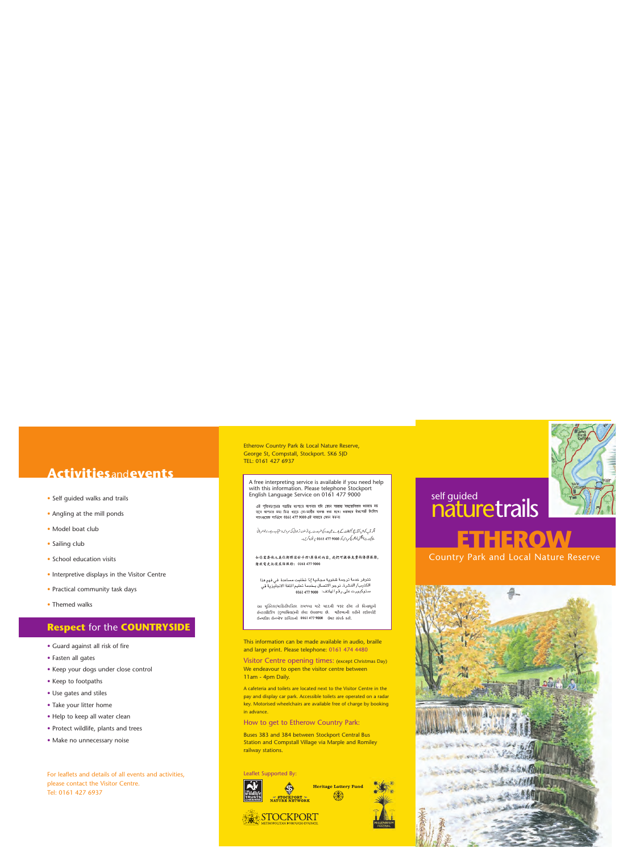# **Activities**and**events**

- Self guided walks and trails
- Angling at the mill ponds
- Model boat club
- Sailing club
- School education visits
- Interpretive displays in the Visitor Centre
- Practical community task days
- Themed walks

## **Respect** for the **COUNTRYSIDE**

- Guard against all risk of fire
- Fasten all gates
- Keep your dogs under close control
- Keep to footpaths
- Use gates and stiles
- Take your litter home
- Help to keep all water clean
- Protect wildlife, plants and trees
- Make no unnecessary noise

For leaflets and details of all events and activities, please contact the Visitor Centre. Tel: 0161 427 6937

Etherow Country Park & Local Nature Reserve, George St, Compstall, Stockport. SK6 5JD TEL: 0161 427 6937

A free interpreting service is available if you need help with this information. Please telephone Stockport English Language Service on 0161 477 9000

এই প্ৰিক্ষা/পচাৰ প্ৰানীৰ ব্যাপ্যাৰ আপনাৰ যদি কোন সাহায্য সহযোগিতাৰ ধৰ্বতাৰ হয় .<br>उत्तर आशमात्र छन्। विमा चत्रक (फ्रा-जारीत रावश कत्रा शतथा मशाकरत ष्टेक शार्म शैरविन लगुण्यास्थान साली होता.<br>लगहरुराष्ट्र शालित्म 0161 477 9000 अरे नाशाल कान करना।

۔<br>اگر آپ کواس کرایج کرلیفلٹ کے بادے میں مدد کی ضرورت ہے تو مفت تر جمانی کی سر وس دستیاب ہے۔ براہ مہر بانی بنا کورٹ انگش لیکٹورنگم وی کو 9000 477 161 پر فون کریں۔

#### 如你需要他人爲你解释这份手册\單張的内容,我们可提供免費的傳释服務。 請致電史托標英語服務: 0161 477 9000

تتوفر خدمة ترجمة شفوية مجانية إذا تطلبت مساعدة افى فهم هذا الكتيب/ النشرة، نرجو الاتصال بنخدمة تعليم اللغة الانجليزية في .<br>ستوكبورت على رقم الهاتف: . 0161 477 0161

આ પસ્તિકા/માહિતીપત્રિકા રામજવા માટે મદદની જરૂર હોય તો વિનામૂલ્યે ઈન્ટરપ્રીટીંગ (દભાષિયા)ની સેવા ઉપલભ્ય છે. મહેરબાની કરીને સ્ટોકપોર્ટ *ઇન્ગ્લીશ લેન્ગ્વેજ સર્વિસનો 0161 477 9000 ઉપર સંપર્ક કરો.* 

This information can be made available in audio, braille and large print. Please telephone: 0161 474 4480

Visitor Centre opening times: (except Christmas Day) We endeavour to open the visitor centre between 11am - 4pm Daily.

A cafeteria and toilets are located next to the Visitor Centre in the pay and display car park. Accessible toilets are operated on a radar key. Motorised wheelchairs are available free of charge by booking in advance.

#### How to get to Etherow Country Park:

Buses 383 and 384 between Stockport Central Bus Station and Compstall Village via Marple and Romiley railway stations.

Leaflet Supported By:



# self guided naturetrails



# **ETHEROW**

Country Park and Local Nature Reserve

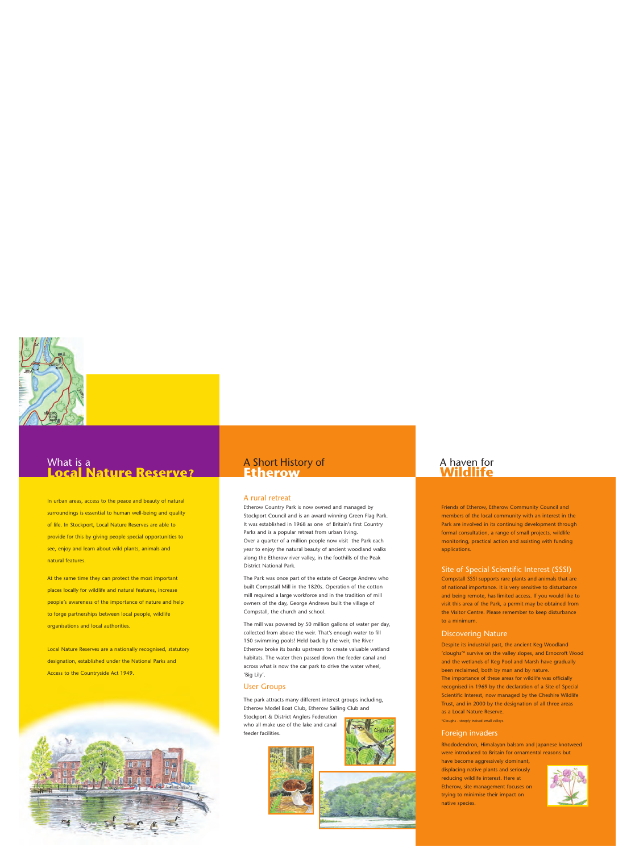## What is a **Local Nature Reserve?**

In urban areas, access to the peace and beauty of natural surroundings is essential to human well-being and quality of life. In Stockport, Local Nature Reserves are able to provide for this by giving people special opportunities to see, enjoy and learn about wild plants, animals and natural features.

At the same time they can protect the most important places locally for wildlife and natural features, increase people's awareness of the importance of nature and help to forge partnerships between local people, wildlife organisations and local authorities.

Local Nature Reserves are a nationally recognised, statutory designation, established under the National Parks and Access to the Countryside Act 1949.



### A Short History of **Etherow**

#### A rural retreat

Etherow Country Park is now owned and managed by Stockport Council and is an award winning Green Flag Park. It was established in 1968 as one of Britain's first Country Parks and is a popular retreat from urban living. Over a quarter of a million people now visit the Park each year to enjoy the natural beauty of ancient woodland walks along the Etherow river valley, in the foothills of the Peak District National Park.

The Park was once part of the estate of George Andrew who built Compstall Mill in the 1820s. Operation of the cotton mill required a large workforce and in the tradition of mill owners of the day, George Andrews built the village of Compstall, the church and school.

The mill was powered by 50 million gallons of water per day, collected from above the weir. That's enough water to fill 150 swimming pools! Held back by the weir, the River Etherow broke its banks upstream to create valuable wetland habitats. The water then passed down the feeder canal and across what is now the car park to drive the water wheel, 'Big Lily'.

#### User Groups

The park attracts many different interest groups including, Etherow Model Boat Club, Etherow Sailing Club and Stockport & District Anglers Federation

who all make use of the lake and canal feeder facilities.





### A haven for **Wildlife**

Friends of Etherow, Etherow Community Council and members of the local community with an interest in the Park are involved in its continuing development through formal consultation, a range of small projects, wildlife monitoring, practical action and assisting with funding applications.

#### Site of Special Scientific Interest (SSSI)

Compstall SSSI supports rare plants and animals that are of national importance. It is very sensitive to disturbance and being remote, has limited access. If you would like to visit this area of the Park, a permit may be obtained from the Visitor Centre. Please remember to keep disturbance to a minimum.

#### Discovering Nature

Despite its industrial past, the ancient Keg Woodland 'cloughs'\* survive on the valley slopes, and Ernocroft Wood and the wetlands of Keg Pool and Marsh have gradually been reclaimed, both by man and by nature. The importance of these areas for wildlife was officially recognised in 1969 by the declaration of a Site of Special Scientific Interest, now managed by the Cheshire Wildlife Trust, and in 2000 by the designation of all three areas as a Local Nature Reserve.

\*Cloughs - steeply incised small valleys.

#### Foreign invaders

Rhododendron, Himalayan balsam and Japanese knotweed were introduced to Britain for ornamental reasons but

have become aggressively dominant, displacing native plants and seriously reducing wildlife interest. Here at Etherow, site management focuses on trying to minimise their impact on native species.